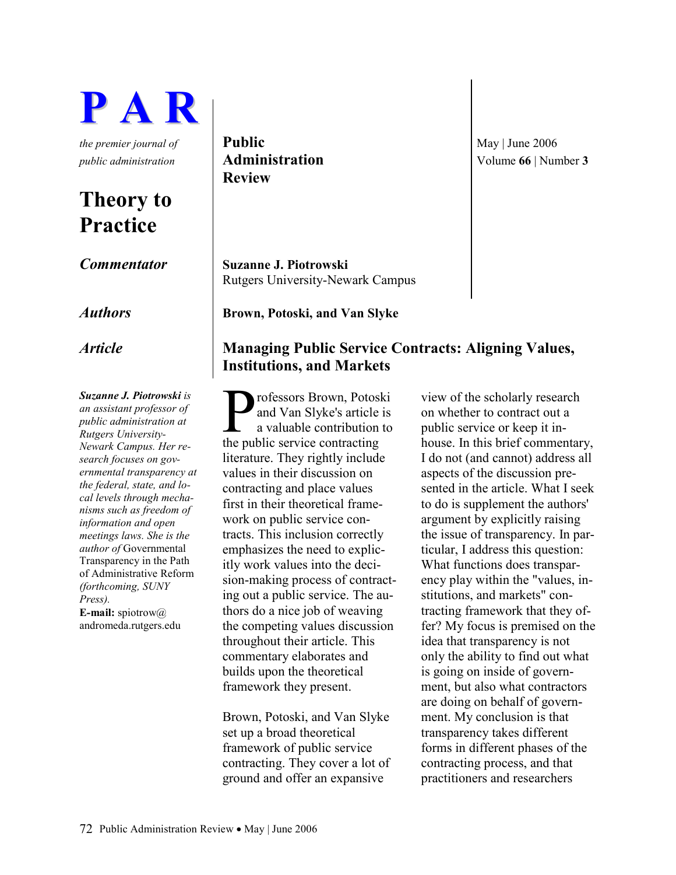

# Theory to Practice

Suzanne J. Piotrowski is an assistant professor of public administration at Rutgers University-Newark Campus. Her research focuses on governmental transparency at the federal, state, and local levels through mechanisms such as freedom of information and open meetings laws. She is the author of Governmental Transparency in the Path of Administrative Reform (forthcoming, SUNY Press). **E-mail:** spiotrow $@$ andromeda.rutgers.edu

the premier journal of **Public**  $\vert$  **May**  $\vert$  June 2006 Review

Commentator Suzanne J. Piotrowski Rutgers University-Newark Campus

Authors **Brown, Potoski, and Van Slyke** 

# Article Managing Public Service Contracts: Aligning Values, Institutions, and Markets

rofessors Brown, Potoski and Van Slyke's article is a valuable contribution to **P**rofessors Brown, Potosl<br>
and Van Slyke's article<br>
a valuable contribution<br>
the public service contracting literature. They rightly include values in their discussion on contracting and place values first in their theoretical framework on public service contracts. This inclusion correctly emphasizes the need to explicitly work values into the decision-making process of contracting out a public service. The authors do a nice job of weaving the competing values discussion throughout their article. This commentary elaborates and builds upon the theoretical framework they present.

Brown, Potoski, and Van Slyke set up a broad theoretical framework of public service contracting. They cover a lot of ground and offer an expansive

view of the scholarly research on whether to contract out a public service or keep it inhouse. In this brief commentary, I do not (and cannot) address all aspects of the discussion presented in the article. What I seek to do is supplement the authors' argument by explicitly raising the issue of transparency. In particular, I address this question: What functions does transparency play within the "values, institutions, and markets" contracting framework that they offer? My focus is premised on the idea that transparency is not only the ability to find out what is going on inside of government, but also what contractors are doing on behalf of government. My conclusion is that transparency takes different forms in different phases of the contracting process, and that practitioners and researchers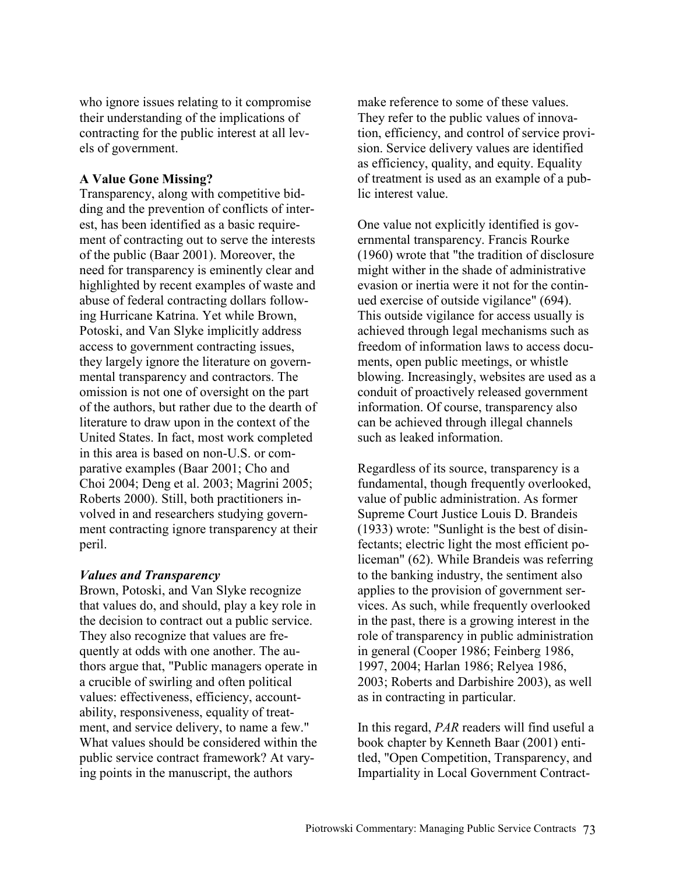who ignore issues relating to it compromise their understanding of the implications of contracting for the public interest at all levels of government.

# A Value Gone Missing?

Transparency, along with competitive bidding and the prevention of conflicts of interest, has been identified as a basic requirement of contracting out to serve the interests of the public (Baar 2001). Moreover, the need for transparency is eminently clear and highlighted by recent examples of waste and abuse of federal contracting dollars following Hurricane Katrina. Yet while Brown, Potoski, and Van Slyke implicitly address access to government contracting issues, they largely ignore the literature on governmental transparency and contractors. The omission is not one of oversight on the part of the authors, but rather due to the dearth of literature to draw upon in the context of the United States. In fact, most work completed in this area is based on non-U.S. or comparative examples (Baar 2001; Cho and Choi 2004; Deng et al. 2003; Magrini 2005; Roberts 2000). Still, both practitioners involved in and researchers studying government contracting ignore transparency at their peril.

## Values and Transparency

Brown, Potoski, and Van Slyke recognize that values do, and should, play a key role in the decision to contract out a public service. They also recognize that values are frequently at odds with one another. The authors argue that, "Public managers operate in a crucible of swirling and often political values: effectiveness, efficiency, accountability, responsiveness, equality of treatment, and service delivery, to name a few." What values should be considered within the public service contract framework? At varying points in the manuscript, the authors

make reference to some of these values. They refer to the public values of innovation, efficiency, and control of service provision. Service delivery values are identified as efficiency, quality, and equity. Equality of treatment is used as an example of a public interest value.

One value not explicitly identified is governmental transparency. Francis Rourke (1960) wrote that "the tradition of disclosure might wither in the shade of administrative evasion or inertia were it not for the continued exercise of outside vigilance" (694). This outside vigilance for access usually is achieved through legal mechanisms such as freedom of information laws to access documents, open public meetings, or whistle blowing. Increasingly, websites are used as a conduit of proactively released government information. Of course, transparency also can be achieved through illegal channels such as leaked information.

Regardless of its source, transparency is a fundamental, though frequently overlooked, value of public administration. As former Supreme Court Justice Louis D. Brandeis (1933) wrote: "Sunlight is the best of disinfectants; electric light the most efficient policeman" (62). While Brandeis was referring to the banking industry, the sentiment also applies to the provision of government services. As such, while frequently overlooked in the past, there is a growing interest in the role of transparency in public administration in general (Cooper 1986; Feinberg 1986, 1997, 2004; Harlan 1986; Relyea 1986, 2003; Roberts and Darbishire 2003), as well as in contracting in particular.

In this regard, PAR readers will find useful a book chapter by Kenneth Baar (2001) entitled, "Open Competition, Transparency, and Impartiality in Local Government Contract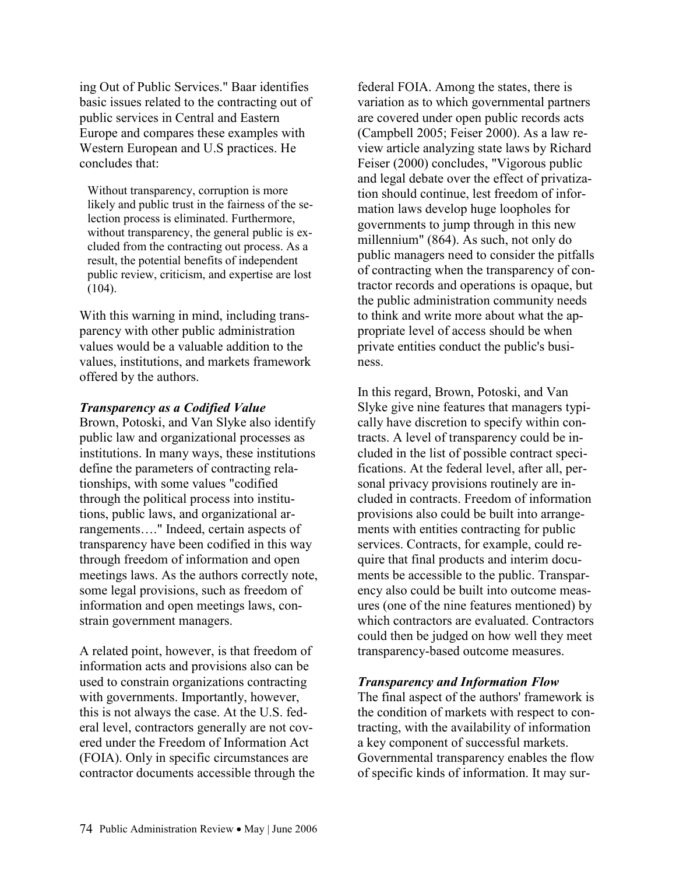ing Out of Public Services." Baar identifies basic issues related to the contracting out of public services in Central and Eastern Europe and compares these examples with Western European and U.S practices. He concludes that:

Without transparency, corruption is more likely and public trust in the fairness of the selection process is eliminated. Furthermore, without transparency, the general public is excluded from the contracting out process. As a result, the potential benefits of independent public review, criticism, and expertise are lost (104).

With this warning in mind, including transparency with other public administration values would be a valuable addition to the values, institutions, and markets framework offered by the authors.

#### Transparency as a Codified Value

Brown, Potoski, and Van Slyke also identify public law and organizational processes as institutions. In many ways, these institutions define the parameters of contracting relationships, with some values "codified through the political process into institutions, public laws, and organizational arrangements…." Indeed, certain aspects of transparency have been codified in this way through freedom of information and open meetings laws. As the authors correctly note, some legal provisions, such as freedom of information and open meetings laws, constrain government managers.

A related point, however, is that freedom of information acts and provisions also can be used to constrain organizations contracting with governments. Importantly, however, this is not always the case. At the U.S. federal level, contractors generally are not covered under the Freedom of Information Act (FOIA). Only in specific circumstances are contractor documents accessible through the federal FOIA. Among the states, there is variation as to which governmental partners are covered under open public records acts (Campbell 2005; Feiser 2000). As a law review article analyzing state laws by Richard Feiser (2000) concludes, "Vigorous public and legal debate over the effect of privatization should continue, lest freedom of information laws develop huge loopholes for governments to jump through in this new millennium" (864). As such, not only do public managers need to consider the pitfalls of contracting when the transparency of contractor records and operations is opaque, but the public administration community needs to think and write more about what the appropriate level of access should be when private entities conduct the public's business.

In this regard, Brown, Potoski, and Van Slyke give nine features that managers typically have discretion to specify within contracts. A level of transparency could be included in the list of possible contract specifications. At the federal level, after all, personal privacy provisions routinely are included in contracts. Freedom of information provisions also could be built into arrangements with entities contracting for public services. Contracts, for example, could require that final products and interim documents be accessible to the public. Transparency also could be built into outcome measures (one of the nine features mentioned) by which contractors are evaluated. Contractors could then be judged on how well they meet transparency-based outcome measures.

## Transparency and Information Flow

The final aspect of the authors' framework is the condition of markets with respect to contracting, with the availability of information a key component of successful markets. Governmental transparency enables the flow of specific kinds of information. It may sur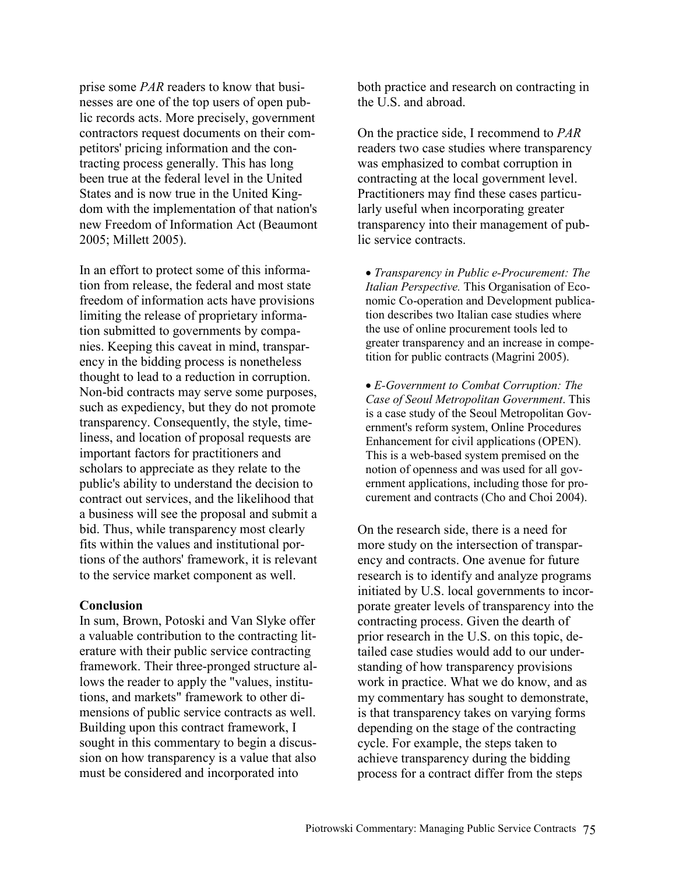prise some PAR readers to know that businesses are one of the top users of open public records acts. More precisely, government contractors request documents on their competitors' pricing information and the contracting process generally. This has long been true at the federal level in the United States and is now true in the United Kingdom with the implementation of that nation's new Freedom of Information Act (Beaumont 2005; Millett 2005).

In an effort to protect some of this information from release, the federal and most state freedom of information acts have provisions limiting the release of proprietary information submitted to governments by companies. Keeping this caveat in mind, transparency in the bidding process is nonetheless thought to lead to a reduction in corruption. Non-bid contracts may serve some purposes, such as expediency, but they do not promote transparency. Consequently, the style, timeliness, and location of proposal requests are important factors for practitioners and scholars to appreciate as they relate to the public's ability to understand the decision to contract out services, and the likelihood that a business will see the proposal and submit a bid. Thus, while transparency most clearly fits within the values and institutional portions of the authors' framework, it is relevant to the service market component as well.

#### **Conclusion**

In sum, Brown, Potoski and Van Slyke offer a valuable contribution to the contracting literature with their public service contracting framework. Their three-pronged structure allows the reader to apply the "values, institutions, and markets" framework to other dimensions of public service contracts as well. Building upon this contract framework, I sought in this commentary to begin a discussion on how transparency is a value that also must be considered and incorporated into

both practice and research on contracting in the U.S. and abroad.

On the practice side, I recommend to PAR readers two case studies where transparency was emphasized to combat corruption in contracting at the local government level. Practitioners may find these cases particularly useful when incorporating greater transparency into their management of public service contracts.

• Transparency in Public e-Procurement: The Italian Perspective. This Organisation of Economic Co-operation and Development publication describes two Italian case studies where the use of online procurement tools led to greater transparency and an increase in competition for public contracts (Magrini 2005).

• E-Government to Combat Corruption: The Case of Seoul Metropolitan Government. This is a case study of the Seoul Metropolitan Government's reform system, Online Procedures Enhancement for civil applications (OPEN). This is a web-based system premised on the notion of openness and was used for all government applications, including those for procurement and contracts (Cho and Choi 2004).

On the research side, there is a need for more study on the intersection of transparency and contracts. One avenue for future research is to identify and analyze programs initiated by U.S. local governments to incorporate greater levels of transparency into the contracting process. Given the dearth of prior research in the U.S. on this topic, detailed case studies would add to our understanding of how transparency provisions work in practice. What we do know, and as my commentary has sought to demonstrate, is that transparency takes on varying forms depending on the stage of the contracting cycle. For example, the steps taken to achieve transparency during the bidding process for a contract differ from the steps